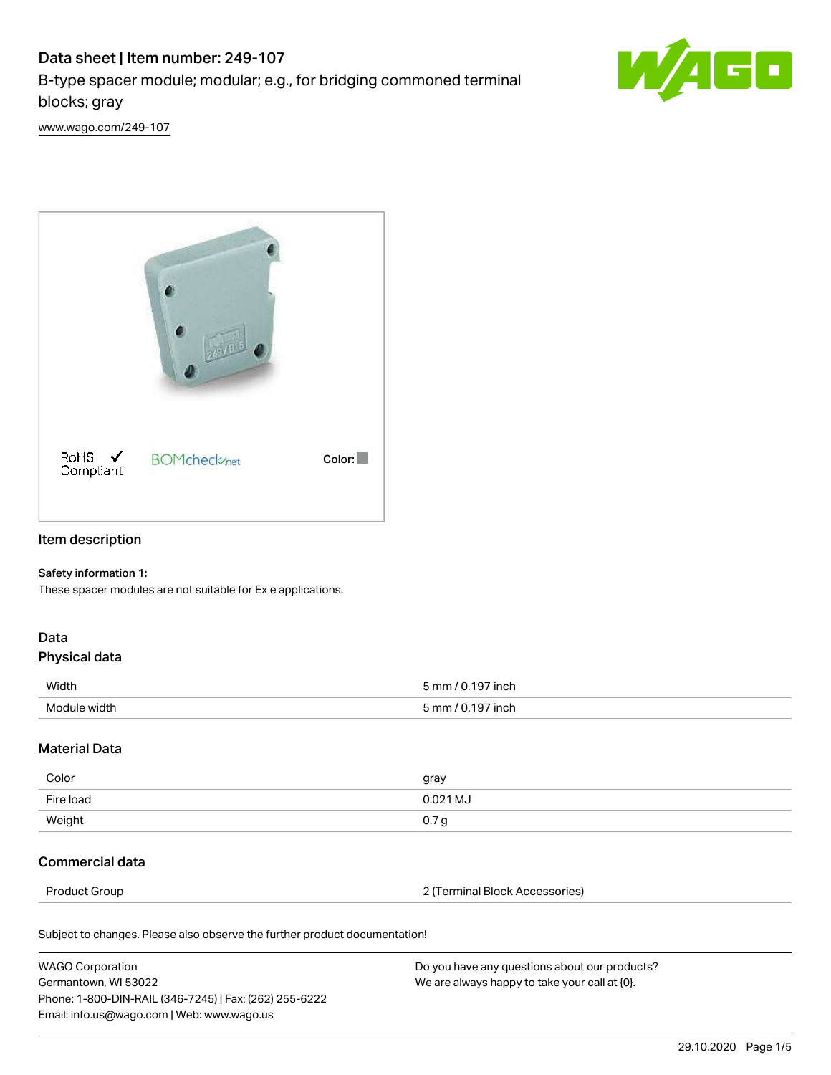# Data sheet | Item number: 249-107

B-type spacer module; modular; e.g., for bridging commoned terminal blocks; gray



[www.wago.com/249-107](http://www.wago.com/249-107)



### Item description

#### Safety information 1:

These spacer modules are not suitable for Ex e applications.

## Data

#### Physical data

| Width        | $\sim$ 7 inch<br>5 mm / N |
|--------------|---------------------------|
| Module width | : mm .<br>≀ inch          |

#### Material Data

| Color     | gray     |
|-----------|----------|
| Fire load | 0.021 MJ |
| Weight    | 0.7 g    |

### Commercial data

Product Group 2 (Terminal Block Accessories)

Subject to changes. Please also observe the further product documentation!

| <b>WAGO Corporation</b>                                | Do you have any questions about our products? |
|--------------------------------------------------------|-----------------------------------------------|
| Germantown, WI 53022                                   | We are always happy to take your call at {0}. |
| Phone: 1-800-DIN-RAIL (346-7245)   Fax: (262) 255-6222 |                                               |
| Email: info.us@wago.com   Web: www.wago.us             |                                               |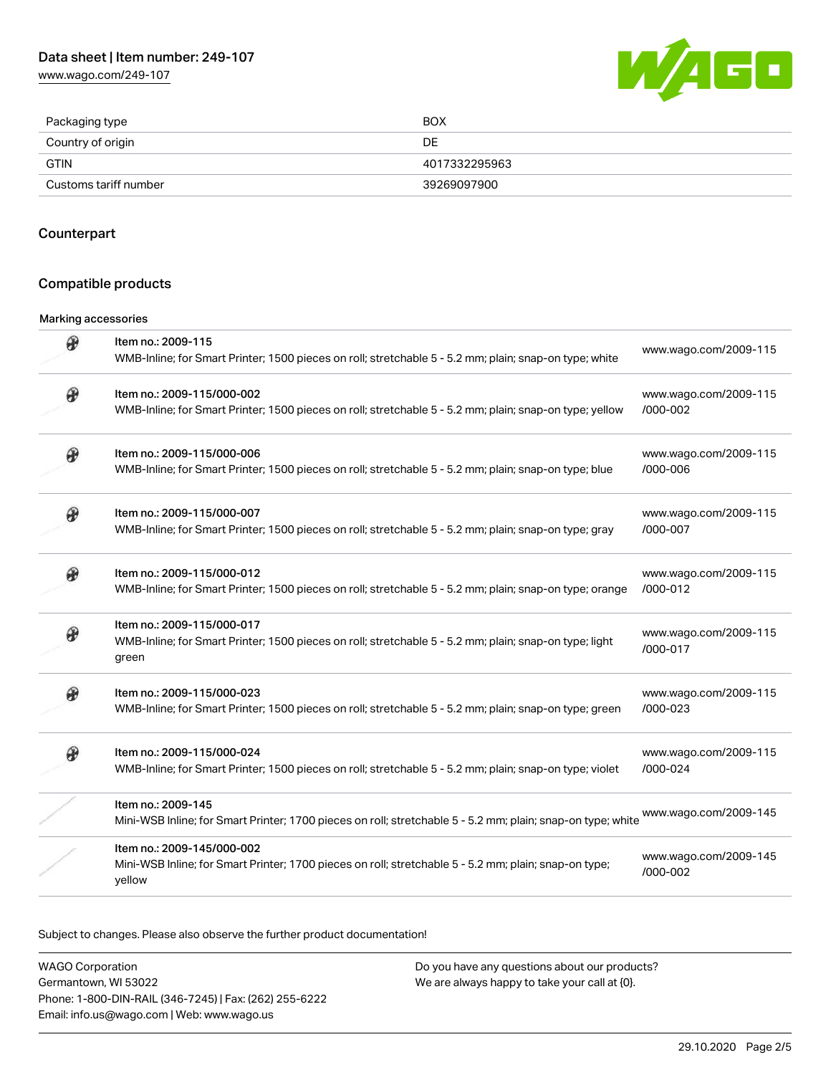[www.wago.com/249-107](http://www.wago.com/249-107)



| Packaging type        | <b>BOX</b>    |
|-----------------------|---------------|
| Country of origin     | DE            |
| GTIN                  | 4017332295963 |
| Customs tariff number | 39269097900   |

#### Counterpart

### Compatible products

#### Marking accessories

| ⊛ | Item no.: 2009-115<br>WMB-Inline; for Smart Printer; 1500 pieces on roll; stretchable 5 - 5.2 mm; plain; snap-on type; white                  | www.wago.com/2009-115             |
|---|-----------------------------------------------------------------------------------------------------------------------------------------------|-----------------------------------|
| ⊛ | Item no.: 2009-115/000-002<br>WMB-Inline; for Smart Printer; 1500 pieces on roll; stretchable 5 - 5.2 mm; plain; snap-on type; yellow         | www.wago.com/2009-115<br>/000-002 |
|   | Item no.: 2009-115/000-006<br>WMB-Inline; for Smart Printer; 1500 pieces on roll; stretchable 5 - 5.2 mm; plain; snap-on type; blue           | www.wago.com/2009-115<br>/000-006 |
|   | Item no.: 2009-115/000-007<br>WMB-Inline; for Smart Printer; 1500 pieces on roll; stretchable 5 - 5.2 mm; plain; snap-on type; gray           | www.wago.com/2009-115<br>/000-007 |
| Đ | Item no.: 2009-115/000-012<br>WMB-Inline; for Smart Printer; 1500 pieces on roll; stretchable 5 - 5.2 mm; plain; snap-on type; orange         | www.wago.com/2009-115<br>/000-012 |
|   | Item no.: 2009-115/000-017<br>WMB-Inline; for Smart Printer; 1500 pieces on roll; stretchable 5 - 5.2 mm; plain; snap-on type; light<br>green | www.wago.com/2009-115<br>/000-017 |
| ⊛ | Item no.: 2009-115/000-023<br>WMB-Inline; for Smart Printer; 1500 pieces on roll; stretchable 5 - 5.2 mm; plain; snap-on type; green          | www.wago.com/2009-115<br>/000-023 |
| Đ | Item no.: 2009-115/000-024<br>WMB-Inline; for Smart Printer; 1500 pieces on roll; stretchable 5 - 5.2 mm; plain; snap-on type; violet         | www.wago.com/2009-115<br>/000-024 |
|   | Item no.: 2009-145<br>Mini-WSB Inline; for Smart Printer; 1700 pieces on roll; stretchable 5 - 5.2 mm; plain; snap-on type; white             | www.wago.com/2009-145             |
|   | Item no.: 2009-145/000-002<br>Mini-WSB Inline; for Smart Printer; 1700 pieces on roll; stretchable 5 - 5.2 mm; plain; snap-on type;<br>yellow | www.wago.com/2009-145<br>/000-002 |

Subject to changes. Please also observe the further product documentation!

WAGO Corporation Germantown, WI 53022 Phone: 1-800-DIN-RAIL (346-7245) | Fax: (262) 255-6222 Email: info.us@wago.com | Web: www.wago.us Do you have any questions about our products? We are always happy to take your call at {0}.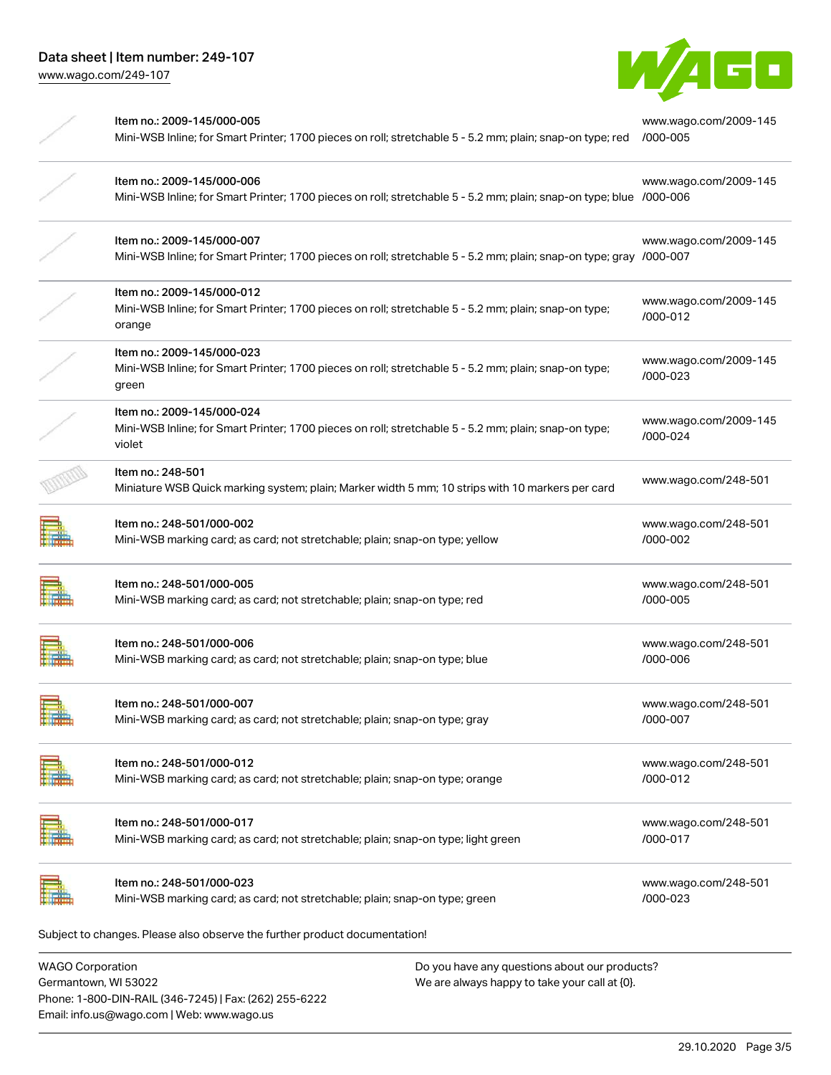

| Item no.: 2009-145/000-005<br>Mini-WSB Inline; for Smart Printer; 1700 pieces on roll; stretchable 5 - 5.2 mm; plain; snap-on type; red           | www.wago.com/2009-145<br>/000-005 |
|---------------------------------------------------------------------------------------------------------------------------------------------------|-----------------------------------|
| Item no.: 2009-145/000-006<br>Mini-WSB Inline; for Smart Printer; 1700 pieces on roll; stretchable 5 - 5.2 mm; plain; snap-on type; blue /000-006 | www.wago.com/2009-145             |
| Item no.: 2009-145/000-007<br>Mini-WSB Inline; for Smart Printer; 1700 pieces on roll; stretchable 5 - 5.2 mm; plain; snap-on type; gray /000-007 | www.wago.com/2009-145             |
| Item no.: 2009-145/000-012<br>Mini-WSB Inline; for Smart Printer; 1700 pieces on roll; stretchable 5 - 5.2 mm; plain; snap-on type;<br>orange     | www.wago.com/2009-145<br>/000-012 |
| Item no.: 2009-145/000-023<br>Mini-WSB Inline; for Smart Printer; 1700 pieces on roll; stretchable 5 - 5.2 mm; plain; snap-on type;<br>green      | www.wago.com/2009-145<br>/000-023 |
| Item no.: 2009-145/000-024<br>Mini-WSB Inline; for Smart Printer; 1700 pieces on roll; stretchable 5 - 5.2 mm; plain; snap-on type;<br>violet     | www.wago.com/2009-145<br>/000-024 |
| Item no.: 248-501<br>Miniature WSB Quick marking system; plain; Marker width 5 mm; 10 strips with 10 markers per card                             | www.wago.com/248-501              |
| Item no.: 248-501/000-002<br>Mini-WSB marking card; as card; not stretchable; plain; snap-on type; yellow                                         | www.wago.com/248-501<br>/000-002  |
| Item no.: 248-501/000-005<br>Mini-WSB marking card; as card; not stretchable; plain; snap-on type; red                                            | www.wago.com/248-501<br>/000-005  |
| Item no.: 248-501/000-006<br>Mini-WSB marking card; as card; not stretchable; plain; snap-on type; blue                                           | www.wago.com/248-501<br>/000-006  |
| Item no.: 248-501/000-007<br>Mini-WSB marking card; as card; not stretchable; plain; snap-on type; gray                                           | www.wago.com/248-501<br>/000-007  |
| Item no.: 248-501/000-012<br>Mini-WSB marking card; as card; not stretchable; plain; snap-on type; orange                                         | www.wago.com/248-501<br>/000-012  |
| Item no.: 248-501/000-017<br>Mini-WSB marking card; as card; not stretchable; plain; snap-on type; light green                                    | www.wago.com/248-501<br>/000-017  |
| Item no.: 248-501/000-023<br>Mini-WSB marking card; as card; not stretchable; plain; snap-on type; green                                          | www.wago.com/248-501<br>/000-023  |
| Subject to changes. Please also observe the further product documentation!                                                                        |                                   |

WAGO Corporation Germantown, WI 53022 Phone: 1-800-DIN-RAIL (346-7245) | Fax: (262) 255-6222 Email: info.us@wago.com | Web: www.wago.us

Do you have any questions about our products? We are always happy to take your call at {0}.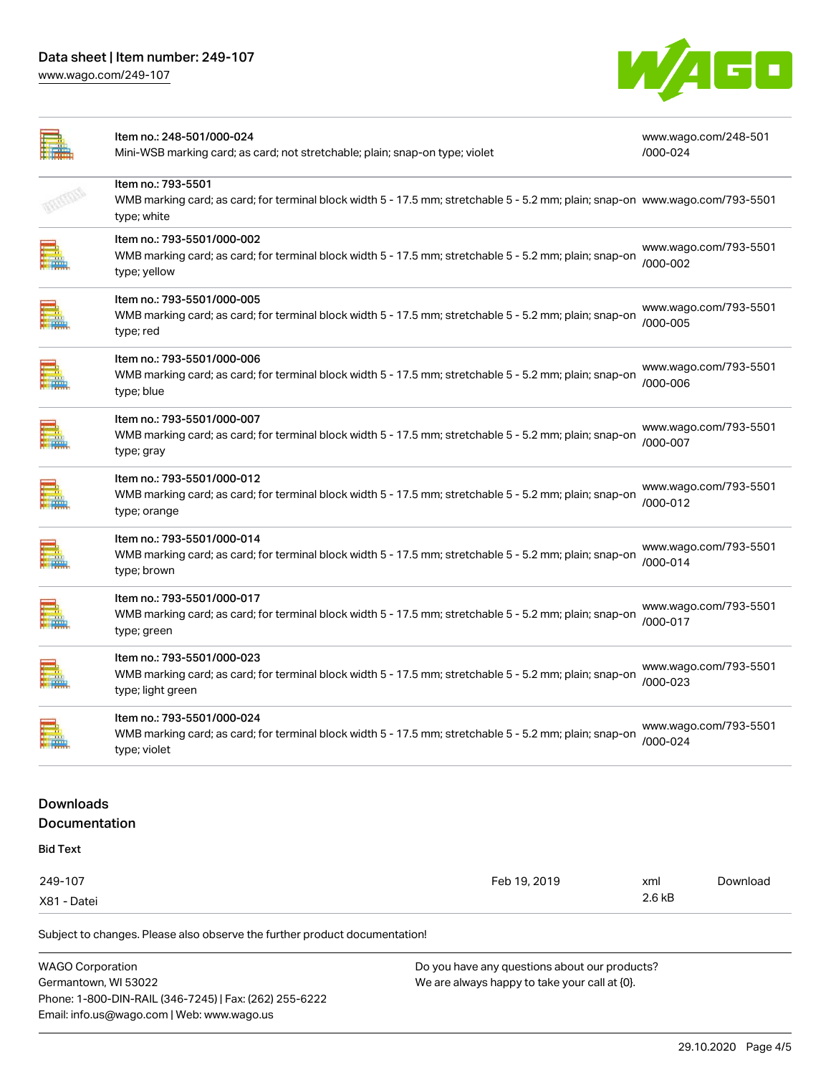[www.wago.com/249-107](http://www.wago.com/249-107)



|                                          | Item no.: 248-501/000-024<br>Mini-WSB marking card; as card; not stretchable; plain; snap-on type; violet                                                          | /000-024        | www.wago.com/248-501  |  |
|------------------------------------------|--------------------------------------------------------------------------------------------------------------------------------------------------------------------|-----------------|-----------------------|--|
|                                          | Item no.: 793-5501<br>WMB marking card; as card; for terminal block width 5 - 17.5 mm; stretchable 5 - 5.2 mm; plain; snap-on www.wago.com/793-5501<br>type; white |                 |                       |  |
|                                          | Item no.: 793-5501/000-002<br>WMB marking card; as card; for terminal block width 5 - 17.5 mm; stretchable 5 - 5.2 mm; plain; snap-on<br>type; yellow              | /000-002        | www.wago.com/793-5501 |  |
|                                          | Item no.: 793-5501/000-005<br>WMB marking card; as card; for terminal block width 5 - 17.5 mm; stretchable 5 - 5.2 mm; plain; snap-on<br>type; red                 | /000-005        | www.wago.com/793-5501 |  |
|                                          | Item no.: 793-5501/000-006<br>WMB marking card; as card; for terminal block width 5 - 17.5 mm; stretchable 5 - 5.2 mm; plain; snap-on<br>type; blue                | /000-006        | www.wago.com/793-5501 |  |
|                                          | Item no.: 793-5501/000-007<br>WMB marking card; as card; for terminal block width 5 - 17.5 mm; stretchable 5 - 5.2 mm; plain; snap-on<br>type; gray                | /000-007        | www.wago.com/793-5501 |  |
|                                          | Item no.: 793-5501/000-012<br>WMB marking card; as card; for terminal block width 5 - 17.5 mm; stretchable 5 - 5.2 mm; plain; snap-on<br>type; orange              | /000-012        | www.wago.com/793-5501 |  |
|                                          | Item no.: 793-5501/000-014<br>WMB marking card; as card; for terminal block width 5 - 17.5 mm; stretchable 5 - 5.2 mm; plain; snap-on<br>type; brown               | /000-014        | www.wago.com/793-5501 |  |
|                                          | Item no.: 793-5501/000-017<br>WMB marking card; as card; for terminal block width 5 - 17.5 mm; stretchable 5 - 5.2 mm; plain; snap-on<br>type; green               | /000-017        | www.wago.com/793-5501 |  |
|                                          | Item no.: 793-5501/000-023<br>WMB marking card; as card; for terminal block width 5 - 17.5 mm; stretchable 5 - 5.2 mm; plain; snap-on<br>type; light green         | /000-023        | www.wago.com/793-5501 |  |
| <b>All Han</b>                           | Item no.: 793-5501/000-024<br>WMB marking card; as card; for terminal block width 5 - 17.5 mm; stretchable 5 - 5.2 mm; plain; snap-on<br>type; violet              | /000-024        | www.wago.com/793-5501 |  |
| <b>Downloads</b><br><b>Documentation</b> |                                                                                                                                                                    |                 |                       |  |
| <b>Bid Text</b>                          |                                                                                                                                                                    |                 |                       |  |
|                                          |                                                                                                                                                                    |                 |                       |  |
| 249-107<br>X81 - Datei                   | Feb 19, 2019                                                                                                                                                       | xml<br>$2.6$ kB | Download              |  |
|                                          | Subject to changes. Please also observe the further product documentation!                                                                                         |                 |                       |  |
| <b>WAGO Corporation</b>                  | Do you have any questions about our products?                                                                                                                      |                 |                       |  |

Germantown, WI 53022 Phone: 1-800-DIN-RAIL (346-7245) | Fax: (262) 255-6222 Email: info.us@wago.com | Web: www.wago.us

We are always happy to take your call at {0}.